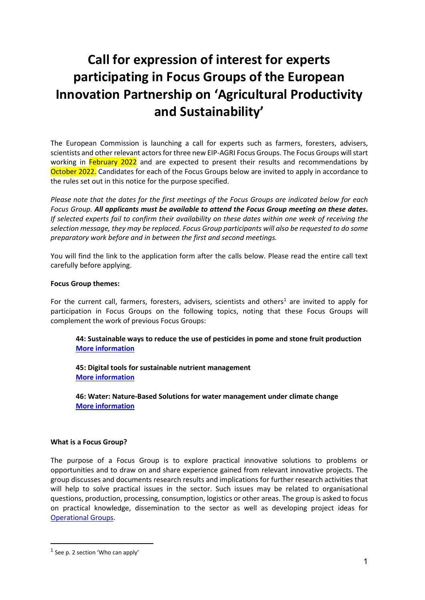# **Call for expression of interest for experts participating in Focus Groups of the European Innovation Partnership on 'Agricultural Productivity and Sustainability'**

The European Commission is launching a call for experts such as farmers, foresters, advisers, scientists and other relevant actors for three new EIP-AGRI Focus Groups. The Focus Groups will start working in February 2022 and are expected to present their results and recommendations by October 2022. Candidates for each of the Focus Groups below are invited to apply in accordance to the rules set out in this notice for the purpose specified.

*Please note that the dates for the first meetings of the Focus Groups are indicated below for each Focus Group. All applicants must be available to attend the Focus Group meeting on these dates***.** *If selected experts fail to confirm their availability on these dates within one week of receiving the selection message, they may be replaced. Focus Group participants will also be requested to do some preparatory work before and in between the first and second meetings.*

You will find the link to the application form after the calls below. Please read the entire call text carefully before applying.

#### **Focus Group themes:**

For the current call, farmers, foresters, advisers, scientists and others<sup>[1](#page-0-0)</sup> are invited to apply for participation in Focus Groups on the following topics, noting that these Focus Groups will complement the work of previous Focus Groups:

**44: Sustainable ways to reduce the use of pesticides in pome and stone fruit production [More information](#page-2-0)**

**45: Digital tools for sustainable nutrient management [More information](#page-4-0)**

**46: Water: Nature-Based Solutions for water management under climate change [More information](#page-5-0)**

#### **What is a Focus Group?**

The purpose of a Focus Group is to explore practical innovative solutions to problems or opportunities and to draw on and share experience gained from relevant innovative projects. The group discusses and documents research results and implications for further research activities that will help to solve practical issues in the sector. Such issues may be related to organisational questions, production, processing, consumption, logistics or other areas. The group is asked to focus on practical knowledge, dissemination to the sector as well as developing project ideas for [Operational Groups.](https://ec.europa.eu/eip/agriculture/en/content/eip-agri-operational-groups-%E2%80%93-basic-principles?stakeholder=3394)

<span id="page-0-0"></span> $<sup>1</sup>$  See p. 2 section 'Who can apply'</sup>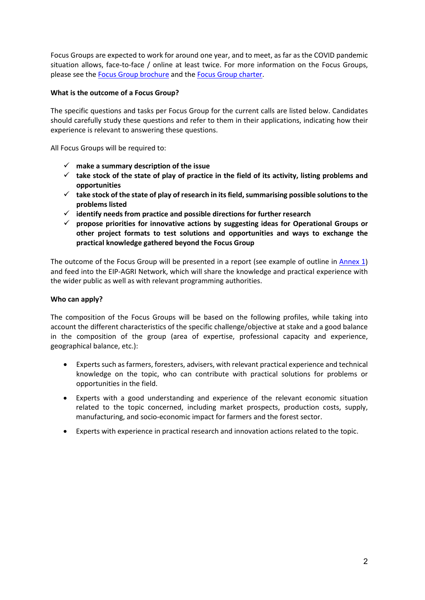Focus Groups are expected to work for around one year, and to meet, as far as the COVID pandemic situation allows, face-to-face / online at least twice. For more information on the Focus Groups, please see the [Focus Group brochure](https://ec.europa.eu/eip/agriculture/en/content/eip-agri-brochure-eip-agri-focus-groups) and the [Focus Group charter.](https://ec.europa.eu/eip/agriculture/sites/agri-eip/files/charter_en.pdf)

### **What is the outcome of a Focus Group?**

The specific questions and tasks per Focus Group for the current calls are listed below. Candidates should carefully study these questions and refer to them in their applications, indicating how their experience is relevant to answering these questions.

All Focus Groups will be required to:

- **make a summary description of the issue**
- **take stock of the state of play of practice in the field of its activity, listing problems and opportunities**
- **take stock of the state of play of research in its field, summarising possible solutions to the problems listed**
- **identify needs from practice and possible directions for further research**
- **propose priorities for innovative actions by suggesting ideas for Operational Groups or other project formats to test solutions and opportunities and ways to exchange the practical knowledge gathered beyond the Focus Group**

The outcome of the Focus Group will be presented in a report (see example of outline in [Annex 1\)](#page-9-0) and feed into the EIP-AGRI Network, which will share the knowledge and practical experience with the wider public as well as with relevant programming authorities.

### **Who can apply?**

The composition of the Focus Groups will be based on the following profiles, while taking into account the different characteristics of the specific challenge/objective at stake and a good balance in the composition of the group (area of expertise, professional capacity and experience, geographical balance, etc.):

- Experts such as farmers, foresters, advisers, with relevant practical experience and technical knowledge on the topic, who can contribute with practical solutions for problems or opportunities in the field.
- Experts with a good understanding and experience of the relevant economic situation related to the topic concerned, including market prospects, production costs, supply, manufacturing, and socio-economic impact for farmers and the forest sector.
- Experts with experience in practical research and innovation actions related to the topic.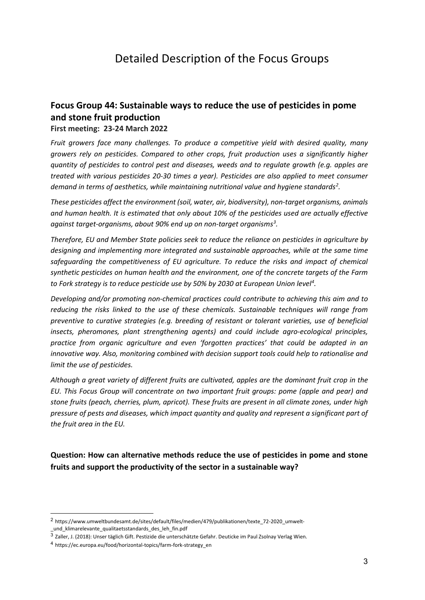## Detailed Description of the Focus Groups

### <span id="page-2-0"></span>**Focus Group 44: Sustainable ways to reduce the use of pesticides in pome and stone fruit production**

**First meeting: 23-24 March 2022**

*Fruit growers face many challenges. To produce a competitive yield with desired quality, many growers rely on pesticides. Compared to other crops, fruit production uses a significantly higher quantity of pesticides to control pest and diseases, weeds and to regulate growth (e.g. apples are treated with various pesticides 20-30 times a year). Pesticides are also applied to meet consumer demand in terms of aesthetics, while maintaining nutritional value and hygiene standards[2](#page-2-1) .*

*These pesticides affect the environment (soil, water, air, biodiversity), non-target organisms, animals and human health. It is estimated that only about 10% of the pesticides used are actually effective against target-organisms, about 90% end up on non-target organisms[3](#page-2-2) .*

*Therefore, EU and Member State policies seek to reduce the reliance on pesticides in agriculture by designing and implementing more integrated and sustainable approaches, while at the same time safeguarding the competitiveness of EU agriculture. To reduce the risks and impact of chemical synthetic pesticides on human health and the environment, one of the concrete targets of the Farm to Fork strategy is to reduce pesticide use by 50% by 2030 at European Union level[4](#page-2-3) .* 

*Developing and/or promoting non-chemical practices could contribute to achieving this aim and to reducing the risks linked to the use of these chemicals. Sustainable techniques will range from preventive to curative strategies (e.g. breeding of resistant or tolerant varieties, use of beneficial insects, pheromones, plant strengthening agents) and could include agro-ecological principles, practice from organic agriculture and even 'forgotten practices' that could be adapted in an innovative way. Also, monitoring combined with decision support tools could help to rationalise and limit the use of pesticides.*

*Although a great variety of different fruits are cultivated, apples are the dominant fruit crop in the EU. This Focus Group will concentrate on two important fruit groups: pome (apple and pear) and stone fruits (peach, cherries, plum, apricot). These fruits are present in all climate zones, under high pressure of pests and diseases, which impact quantity and quality and represent a significant part of the fruit area in the EU.* 

**Question: How can alternative methods reduce the use of pesticides in pome and stone fruits and support the productivity of the sector in a sustainable way?**

<span id="page-2-1"></span><sup>2</sup> https://www.umweltbundesamt.de/sites/default/files/medien/479/publikationen/texte\_72-2020\_umwelt- \_und\_klimarelevante\_qualitaetsstandards\_des\_leh\_fin.pdf

<span id="page-2-2"></span><sup>3</sup> Zaller, J. (2018): Unser täglich Gift. Pestizide die unterschätzte Gefahr. Deuticke im Paul Zsolnay Verlag Wien.

<span id="page-2-3"></span><sup>4</sup> https://ec.europa.eu/food/horizontal-topics/farm-fork-strategy\_en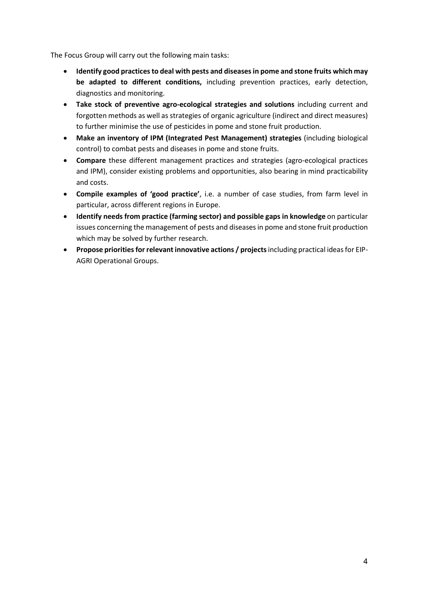The Focus Group will carry out the following main tasks:

- **Identify good practices to deal with pests and diseases in pome and stone fruits which may be adapted to different conditions,** including prevention practices, early detection, diagnostics and monitoring.
- **Take stock of preventive agro-ecological strategies and solutions** including current and forgotten methods as well as strategies of organic agriculture (indirect and direct measures) to further minimise the use of pesticides in pome and stone fruit production.
- **Make an inventory of IPM (Integrated Pest Management) strategies** (including biological control) to combat pests and diseases in pome and stone fruits.
- **Compare** these different management practices and strategies (agro-ecological practices and IPM), consider existing problems and opportunities, also bearing in mind practicability and costs.
- **Compile examples of 'good practice'**, i.e. a number of case studies, from farm level in particular, across different regions in Europe.
- **Identify needs from practice (farming sector) and possible gaps in knowledge** on particular issues concerning the management of pests and diseases in pome and stone fruit production which may be solved by further research.
- **Propose priorities for relevant innovative actions / projects**including practical ideas for EIP-AGRI Operational Groups.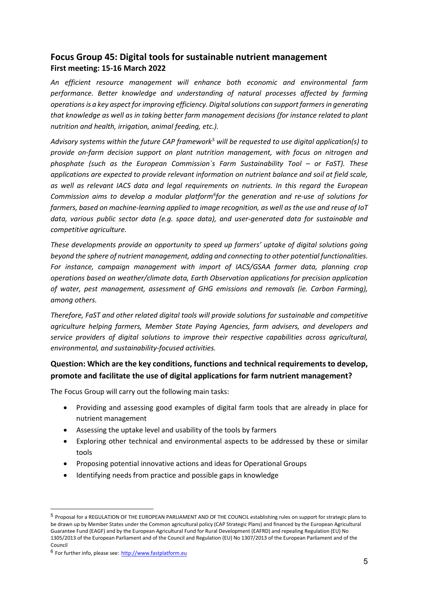### <span id="page-4-0"></span>**Focus Group 45: Digital tools for sustainable nutrient management First meeting: 15-16 March 2022**

*An efficient resource management will enhance both economic and environmental farm performance. Better knowledge and understanding of natural processes affected by farming operations is a key aspect for improving efficiency. Digital solutions can support farmers in generating that knowledge as well as in taking better farm management decisions (for instance related to plant nutrition and health, irrigation, animal feeding, etc.).*

*Advisory systems within the future CAP framework[5](#page-4-1) will be requested to use digital application(s) to provide on-farm decision support on plant nutrition management, with focus on nitrogen and phosphate (such as the European Commission`s Farm Sustainability Tool – or FaST). These applications are expected to provide relevant information on nutrient balance and soil at field scale, as well as relevant IACS data and legal requirements on nutrients. In this regard the European Commission aims to develop a modular platform[6](#page-4-2) for the generation and re-use of solutions for farmers, based on machine-learning applied to image recognition, as well as the use and reuse of IoT data, various public sector data (e.g. space data), and user-generated data for sustainable and competitive agriculture.* 

*These developments provide an opportunity to speed up farmers' uptake of digital solutions going beyond the sphere of nutrient management, adding and connecting to other potential functionalities. For instance, campaign management with import of IACS/GSAA farmer data, planning crop operations based on weather/climate data, Earth Observation applications for precision application of water, pest management, assessment of GHG emissions and removals (ie. Carbon Farming), among others.*

*Therefore, FaST and other related digital tools will provide solutions for sustainable and competitive agriculture helping farmers, Member State Paying Agencies, farm advisers, and developers and service providers of digital solutions to improve their respective capabilities across agricultural, environmental, and sustainability-focused activities.*

### **Question: Which are the key conditions, functions and technical requirements to develop, promote and facilitate the use of digital applications for farm nutrient management?**

The Focus Group will carry out the following main tasks:

- Providing and assessing good examples of digital farm tools that are already in place for nutrient management
- Assessing the uptake level and usability of the tools by farmers
- Exploring other technical and environmental aspects to be addressed by these or similar tools
- Proposing potential innovative actions and ideas for Operational Groups
- Identifying needs from practice and possible gaps in knowledge

<span id="page-4-1"></span><sup>5</sup> Proposal for a REGULATION OF THE EUROPEAN PARLIAMENT AND OF THE COUNCIL establishing rules on support for strategic plans to be drawn up by Member States under the Common agricultural policy (CAP Strategic Plans) and financed by the European Agricultural Guarantee Fund (EAGF) and by the European Agricultural Fund for Rural Development (EAFRD) and repealing Regulation (EU) No 1305/2013 of the European Parliament and of the Council and Regulation (EU) No 1307/2013 of the European Parliament and of the Council

<span id="page-4-2"></span><sup>6</sup> For further info, please see: [http://www.fastplatform.eu](http://www.fastplatform.eu/)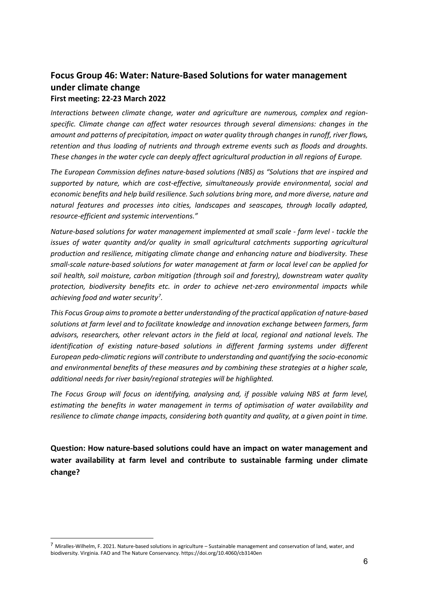### <span id="page-5-0"></span>**Focus Group 46: Water: Nature-Based Solutions for water management under climate change First meeting: 22-23 March 2022**

*Interactions between climate change, water and agriculture are numerous, complex and regionspecific. Climate change can affect water resources through several dimensions: changes in the amount and patterns of precipitation, impact on water quality through changes in runoff, river flows, retention and thus loading of nutrients and through extreme events such as floods and droughts. These changes in the water cycle can deeply affect agricultural production in all regions of Europe.*

*The European Commission defines nature-based solutions (NBS) as "Solutions that are inspired and supported by nature, which are cost-effective, simultaneously provide environmental, social and economic benefits and help build resilience. Such solutions bring more, and more diverse, nature and natural features and processes into cities, landscapes and seascapes, through locally adapted, resource-efficient and systemic interventions."*

*Nature-based solutions for water management implemented at small scale - farm level - tackle the issues of water quantity and/or quality in small agricultural catchments supporting agricultural production and resilience, mitigating climate change and enhancing nature and biodiversity. These small-scale nature-based solutions for water management at farm or local level can be applied for soil health, soil moisture, carbon mitigation (through soil and forestry), downstream water quality protection, biodiversity benefits etc. in order to achieve net-zero environmental impacts while achieving food and water security[7](#page-5-1) .* 

*This Focus Group aims to promote a better understanding of the practical application of nature-based solutions at farm level and to facilitate knowledge and innovation exchange between farmers, farm advisors, researchers, other relevant actors in the field at local, regional and national levels. The identification of existing nature-based solutions in different farming systems under different European pedo-climatic regions will contribute to understanding and quantifying the socio-economic and environmental benefits of these measures and by combining these strategies at a higher scale, additional needs for river basin/regional strategies will be highlighted.*

*The Focus Group will focus on identifying, analysing and, if possible valuing NBS at farm level, estimating the benefits in water management in terms of optimisation of water availability and resilience to climate change impacts, considering both quantity and quality, at a given point in time.*

**Question: How nature-based solutions could have an impact on water management and water availability at farm level and contribute to sustainable farming under climate change?**

<span id="page-5-1"></span> $^7$  Miralles-Wilhelm, F. 2021. Nature-based solutions in agriculture – Sustainable management and conservation of land, water, and biodiversity. Virginia. FAO and The Nature Conservancy. https://doi.org/10.4060/cb3140en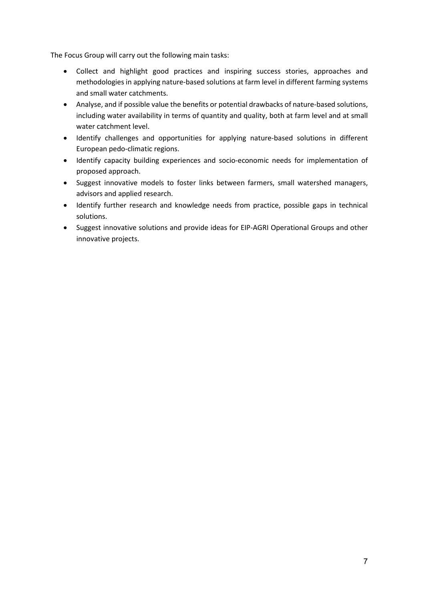The Focus Group will carry out the following main tasks:

- Collect and highlight good practices and inspiring success stories, approaches and methodologies in applying nature-based solutions at farm level in different farming systems and small water catchments.
- Analyse, and if possible value the benefits or potential drawbacks of nature-based solutions, including water availability in terms of quantity and quality, both at farm level and at small water catchment level.
- Identify challenges and opportunities for applying nature-based solutions in different European pedo-climatic regions.
- Identify capacity building experiences and socio-economic needs for implementation of proposed approach.
- Suggest innovative models to foster links between farmers, small watershed managers, advisors and applied research.
- Identify further research and knowledge needs from practice, possible gaps in technical solutions.
- Suggest innovative solutions and provide ideas for EIP-AGRI Operational Groups and other innovative projects.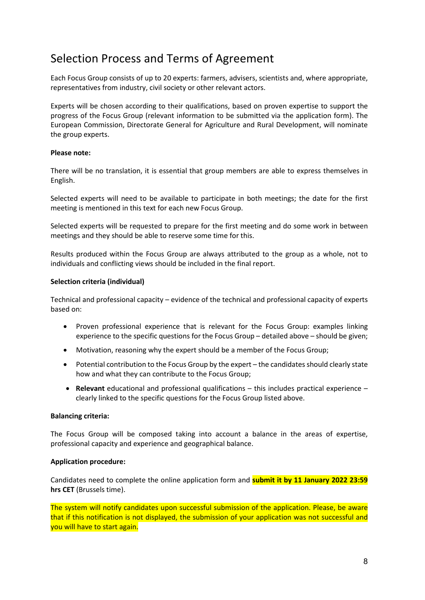# Selection Process and Terms of Agreement

Each Focus Group consists of up to 20 experts: farmers, advisers, scientists and, where appropriate, representatives from industry, civil society or other relevant actors.

Experts will be chosen according to their qualifications, based on proven expertise to support the progress of the Focus Group (relevant information to be submitted via the application form). The European Commission, Directorate General for Agriculture and Rural Development, will nominate the group experts.

### **Please note:**

There will be no translation, it is essential that group members are able to express themselves in English.

Selected experts will need to be available to participate in both meetings; the date for the first meeting is mentioned in this text for each new Focus Group.

Selected experts will be requested to prepare for the first meeting and do some work in between meetings and they should be able to reserve some time for this.

Results produced within the Focus Group are always attributed to the group as a whole, not to individuals and conflicting views should be included in the final report.

### **Selection criteria (individual)**

Technical and professional capacity – evidence of the technical and professional capacity of experts based on:

- Proven professional experience that is relevant for the Focus Group: examples linking experience to the specific questions for the Focus Group – detailed above – should be given;
- Motivation, reasoning why the expert should be a member of the Focus Group;
- Potential contribution to the Focus Group by the expert the candidates should clearly state how and what they can contribute to the Focus Group;
- **Relevant** educational and professional qualifications this includes practical experience clearly linked to the specific questions for the Focus Group listed above.

#### **Balancing criteria:**

The Focus Group will be composed taking into account a balance in the areas of expertise, professional capacity and experience and geographical balance.

#### **Application procedure:**

Candidates need to complete the online application form and **submit it by 11 January 2022 23:59 hrs CET** (Brussels time).

The system will notify candidates upon successful submission of the application. Please, be aware that if this notification is not displayed, the submission of your application was not successful and you will have to start again.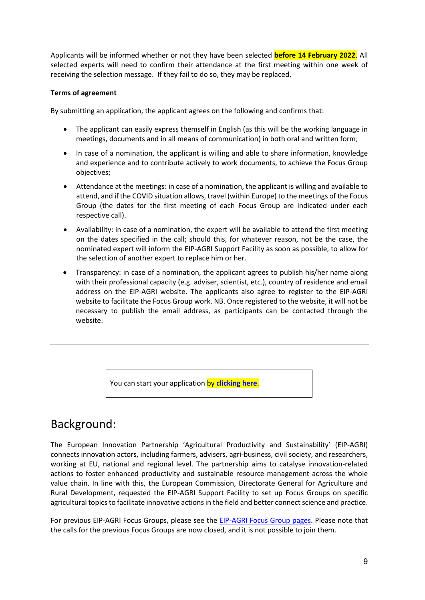Applicants will be informed whether or not they have been selected **before 14 February 2022**. All selected experts will need to confirm their attendance at the first meeting within one week of receiving the selection message. If they fail to do so, they may be replaced.

### **Terms of agreement**

By submitting an application, the applicant agrees on the following and confirms that:

- The applicant can easily express themself in English (as this will be the working language in meetings, documents and in all means of communication) in both oral and written form;
- In case of a nomination, the applicant is willing and able to share information, knowledge and experience and to contribute actively to work documents, to achieve the Focus Group objectives;
- Attendance at the meetings: in case of a nomination, the applicant is willing and available to attend, and if the COVID situation allows, travel (within Europe) to the meetings of the Focus Group (the dates for the first meeting of each Focus Group are indicated under each respective call).
- Availability: in case of a nomination, the expert will be available to attend the first meeting on the dates specified in the call; should this, for whatever reason, not be the case, the nominated expert will inform the EIP-AGRI Support Facility as soon as possible, to allow for the selection of another expert to replace him or her.
- Transparency: in case of a nomination, the applicant agrees to publish his/her name along with their professional capacity (e.g. adviser, scientist, etc.), country of residence and email address on the EIP-AGRI website. The applicants also agree to register to the EIP-AGRI website to facilitate the Focus Group work. NB. Once registered to the website, it will not be necessary to publish the email address, as participants can be contacted through the website.

You can start your application by **[clicking here](https://ec.europa.eu/eip/agriculture/en/content/eip-agri-focus-groups-expert-application-form)**.

## Background:

The European Innovation Partnership 'Agricultural Productivity and Sustainability' (EIP-AGRI) connects innovation actors, including farmers, advisers, agri-business, civil society, and researchers, working at EU, national and regional level. The partnership aims to catalyse innovation-related actions to foster enhanced productivity and sustainable resource management across the whole value chain. In line with this, the European Commission, Directorate General for Agriculture and Rural Development, requested the EIP-AGRI Support Facility to set up Focus Groups on specific agricultural topics to facilitate innovative actions in the field and better connect science and practice.

For previous EIP-AGRI Focus Groups, please see the [EIP-AGRI Focus Group pages.](http://ec.europa.eu/eip/agriculture/en/content/focus-groups) Please note that the calls for the previous Focus Groups are now closed, and it is not possible to join them.